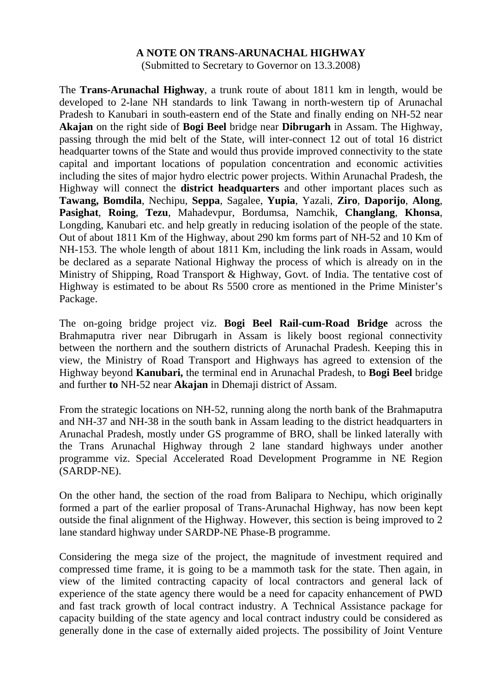## **A NOTE ON TRANS-ARUNACHAL HIGHWAY**

(Submitted to Secretary to Governor on 13.3.2008)

The **Trans-Arunachal Highway**, a trunk route of about 1811 km in length, would be developed to 2-lane NH standards to link Tawang in north-western tip of Arunachal Pradesh to Kanubari in south-eastern end of the State and finally ending on NH-52 near **Akajan** on the right side of **Bogi Beel** bridge near **Dibrugarh** in Assam. The Highway, passing through the mid belt of the State, will inter-connect 12 out of total 16 district headquarter towns of the State and would thus provide improved connectivity to the state capital and important locations of population concentration and economic activities including the sites of major hydro electric power projects. Within Arunachal Pradesh, the Highway will connect the **district headquarters** and other important places such as **Tawang, Bomdila**, Nechipu, **Seppa**, Sagalee, **Yupia**, Yazali, **Ziro**, **Daporijo**, **Along**, **Pasighat**, **Roing**, **Tezu**, Mahadevpur, Bordumsa, Namchik, **Changlang**, **Khonsa**, Longding, Kanubari etc. and help greatly in reducing isolation of the people of the state. Out of about 1811 Km of the Highway, about 290 km forms part of NH-52 and 10 Km of NH-153. The whole length of about 1811 Km, including the link roads in Assam, would be declared as a separate National Highway the process of which is already on in the Ministry of Shipping, Road Transport & Highway, Govt. of India. The tentative cost of Highway is estimated to be about Rs 5500 crore as mentioned in the Prime Minister's Package.

The on-going bridge project viz. **Bogi Beel Rail-cum-Road Bridge** across the Brahmaputra river near Dibrugarh in Assam is likely boost regional connectivity between the northern and the southern districts of Arunachal Pradesh. Keeping this in view, the Ministry of Road Transport and Highways has agreed to extension of the Highway beyond **Kanubari,** the terminal end in Arunachal Pradesh, to **Bogi Beel** bridge and further **to** NH-52 near **Akajan** in Dhemaji district of Assam.

From the strategic locations on NH-52, running along the north bank of the Brahmaputra and NH-37 and NH-38 in the south bank in Assam leading to the district headquarters in Arunachal Pradesh, mostly under GS programme of BRO, shall be linked laterally with the Trans Arunachal Highway through 2 lane standard highways under another programme viz. Special Accelerated Road Development Programme in NE Region (SARDP-NE).

On the other hand, the section of the road from Balipara to Nechipu, which originally formed a part of the earlier proposal of Trans-Arunachal Highway, has now been kept outside the final alignment of the Highway. However, this section is being improved to 2 lane standard highway under SARDP-NE Phase-B programme.

Considering the mega size of the project, the magnitude of investment required and compressed time frame, it is going to be a mammoth task for the state. Then again, in view of the limited contracting capacity of local contractors and general lack of experience of the state agency there would be a need for capacity enhancement of PWD and fast track growth of local contract industry. A Technical Assistance package for capacity building of the state agency and local contract industry could be considered as generally done in the case of externally aided projects. The possibility of Joint Venture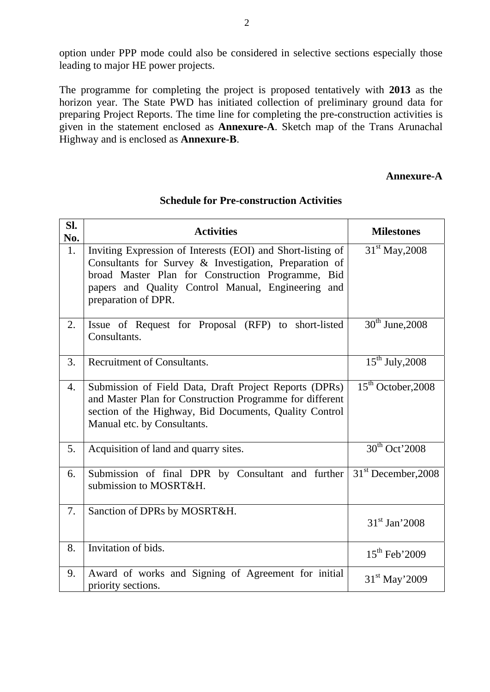option under PPP mode could also be considered in selective sections especially those leading to major HE power projects.

The programme for completing the project is proposed tentatively with **2013** as the horizon year. The State PWD has initiated collection of preliminary ground data for preparing Project Reports. The time line for completing the pre-construction activities is given in the statement enclosed as **Annexure-A**. Sketch map of the Trans Arunachal Highway and is enclosed as **Annexure-B**.

## **Annexure-A**

| Sl.<br>No. | <b>Activities</b>                                                                                                                                                                                                                                       | <b>Milestones</b>               |
|------------|---------------------------------------------------------------------------------------------------------------------------------------------------------------------------------------------------------------------------------------------------------|---------------------------------|
| 1.         | Inviting Expression of Interests (EOI) and Short-listing of<br>Consultants for Survey & Investigation, Preparation of<br>broad Master Plan for Construction Programme, Bid<br>papers and Quality Control Manual, Engineering and<br>preparation of DPR. | 31 <sup>st</sup> May, 2008      |
| 2.         | Issue of Request for Proposal (RFP) to short-listed<br>Consultants.                                                                                                                                                                                     | $30th$ June, 2008               |
| 3.         | <b>Recruitment of Consultants.</b>                                                                                                                                                                                                                      | $15^{th}$ July, 2008            |
| 4.         | Submission of Field Data, Draft Project Reports (DPRs)<br>and Master Plan for Construction Programme for different<br>section of the Highway, Bid Documents, Quality Control<br>Manual etc. by Consultants.                                             | $15th$ October, 2008            |
| 5.         | Acquisition of land and quarry sites.                                                                                                                                                                                                                   | $30th$ Oct' 2008                |
| 6.         | Submission of final DPR by Consultant and further<br>submission to MOSRT&H.                                                                                                                                                                             | 31 <sup>st</sup> December, 2008 |
| 7.         | Sanction of DPRs by MOSRT&H.                                                                                                                                                                                                                            | 31 <sup>st</sup> Jan'2008       |
| 8.         | Invitation of bids.                                                                                                                                                                                                                                     | $15th$ Feb'2009                 |
| 9.         | Award of works and Signing of Agreement for initial<br>priority sections.                                                                                                                                                                               | $31st$ May'2009                 |

## **Schedule for Pre-construction Activities**